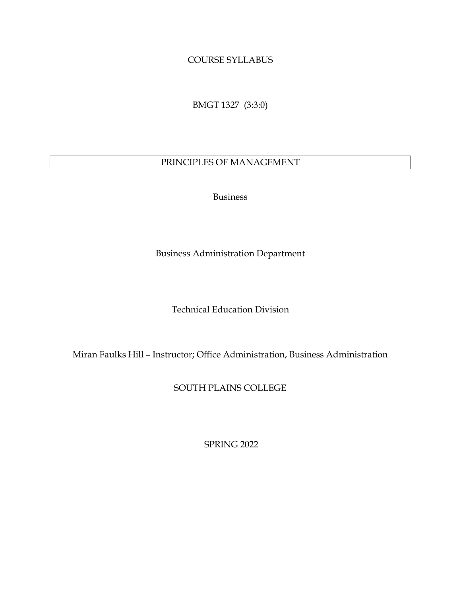#### COURSE SYLLABUS

BMGT 1327 (3:3:0)

#### PRINCIPLES OF MANAGEMENT

Business

Business Administration Department

Technical Education Division

Miran Faulks Hill – Instructor; Office Administration, Business Administration

SOUTH PLAINS COLLEGE

SPRING 2022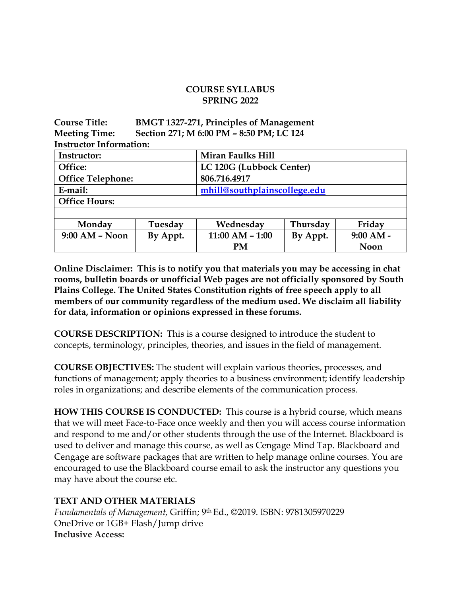#### **COURSE SYLLABUS SPRING 2022**

**Course Title: BMGT 1327-271, Principles of Management Meeting Time: Section 271; M 6:00 PM – 8:50 PM; LC 124 Instructor Information:**

| Instructor:              |          | Miran Faulks Hill            |          |             |  |  |  |
|--------------------------|----------|------------------------------|----------|-------------|--|--|--|
| Office:                  |          | LC 120G (Lubbock Center)     |          |             |  |  |  |
| <b>Office Telephone:</b> |          | 806.716.4917                 |          |             |  |  |  |
| E-mail:                  |          | mhill@southplainscollege.edu |          |             |  |  |  |
| <b>Office Hours:</b>     |          |                              |          |             |  |  |  |
|                          |          |                              |          |             |  |  |  |
| Monday                   | Tuesday  | Wednesday                    | Thursday | Friday      |  |  |  |
| $9:00$ AM - Noon         | By Appt. | $11:00 AM - 1:00$            | By Appt. | $9:00 AM -$ |  |  |  |
|                          |          | <b>PM</b>                    |          | Noon        |  |  |  |

**Online Disclaimer: This is to notify you that materials you may be accessing in chat rooms, bulletin boards or unofficial Web pages are not officially sponsored by South Plains College. The United States Constitution rights of free speech apply to all members of our community regardless of the medium used. We disclaim all liability for data, information or opinions expressed in these forums.**

**COURSE DESCRIPTION:** This is a course designed to introduce the student to concepts, terminology, principles, theories, and issues in the field of management.

**COURSE OBJECTIVES:** The student will explain various theories, processes, and functions of management; apply theories to a business environment; identify leadership roles in organizations; and describe elements of the communication process.

**HOW THIS COURSE IS CONDUCTED:** This course is a hybrid course, which means that we will meet Face-to-Face once weekly and then you will access course information and respond to me and/or other students through the use of the Internet. Blackboard is used to deliver and manage this course, as well as Cengage Mind Tap. Blackboard and Cengage are software packages that are written to help manage online courses. You are encouraged to use the Blackboard course email to ask the instructor any questions you may have about the course etc.

#### **TEXT AND OTHER MATERIALS**

*Fundamentals of Management,* Griffin; 9th Ed., ©2019. ISBN: 9781305970229 OneDrive or 1GB+ Flash/Jump drive **Inclusive Access:**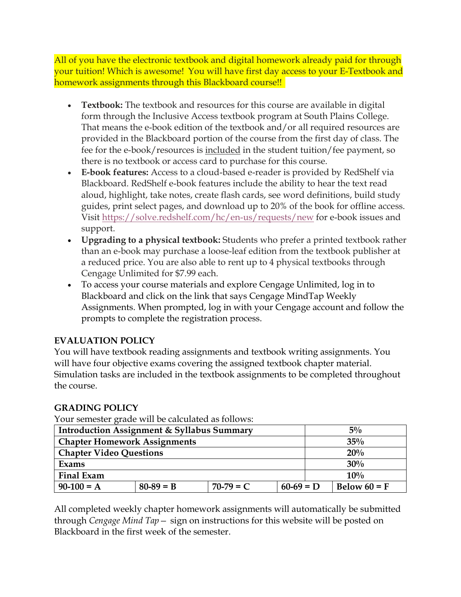All of you have the electronic textbook and digital homework already paid for through your tuition! Which is awesome! You will have first day access to your E-Textbook and homework assignments through this Blackboard course!!

- **Textbook:** The textbook and resources for this course are available in digital form through the Inclusive Access textbook program at South Plains College. That means the e-book edition of the textbook and/or all required resources are provided in the Blackboard portion of the course from the first day of class. The fee for the e-book/resources is included in the student tuition/fee payment, so there is no textbook or access card to purchase for this course.
- **E-book features:** Access to a cloud-based e-reader is provided by RedShelf via Blackboard. RedShelf e-book features include the ability to hear the text read aloud, highlight, take notes, create flash cards, see word definitions, build study guides, print select pages, and download up to 20% of the book for offline access. Visit <https://solve.redshelf.com/hc/en-us/requests/new> for e-book issues and support.
- **Upgrading to a physical textbook:** Students who prefer a printed textbook rather than an e-book may purchase a loose-leaf edition from the textbook publisher at a reduced price. You are also able to rent up to 4 physical textbooks through Cengage Unlimited for \$7.99 each.
- To access your course materials and explore Cengage Unlimited, log in to Blackboard and click on the link that says Cengage MindTap Weekly Assignments. When prompted, log in with your Cengage account and follow the prompts to complete the registration process.

# **EVALUATION POLICY**

You will have textbook reading assignments and textbook writing assignments. You will have four objective exams covering the assigned textbook chapter material. Simulation tasks are included in the textbook assignments to be completed throughout the course.

# **GRADING POLICY**

Your semester grade will be calculated as follows:

| <b>Introduction Assignment &amp; Syllabus Summary</b> |             |             |             |  | $5\%$          |  |
|-------------------------------------------------------|-------------|-------------|-------------|--|----------------|--|
| <b>Chapter Homework Assignments</b>                   |             |             |             |  | 35%            |  |
| <b>Chapter Video Questions</b>                        |             |             |             |  | 20%            |  |
| Exams                                                 |             |             |             |  | 30%            |  |
| <b>Final Exam</b>                                     |             |             |             |  | 10%            |  |
| $90-100 = A$                                          | $80-89 = B$ | $70-79 = C$ | $60-69 = D$ |  | Below $60 = F$ |  |

All completed weekly chapter homework assignments will automatically be submitted through *Cengage Mind Tap—* sign on instructions for this website will be posted on Blackboard in the first week of the semester.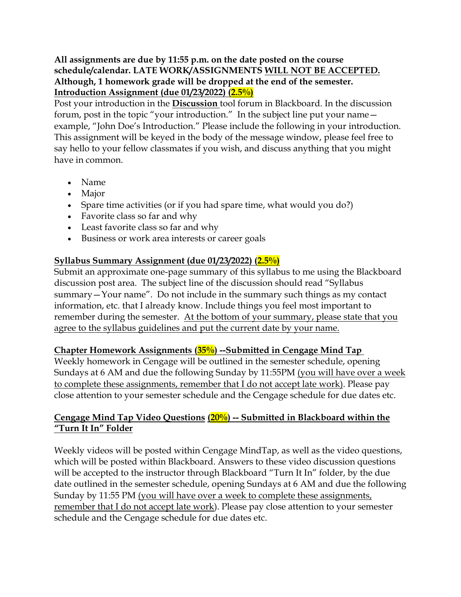**All assignments are due by 11:55 p.m. on the date posted on the course schedule/calendar. LATE WORK/ASSIGNMENTS WILL NOT BE ACCEPTED. Although, 1 homework grade will be dropped at the end of the semester. Introduction Assignment (due 01/23/2022) (2.5%)**

Post your introduction in the **Discussion** tool forum in Blackboard. In the discussion forum, post in the topic "your introduction." In the subject line put your name example, "John Doe's Introduction." Please include the following in your introduction. This assignment will be keyed in the body of the message window, please feel free to say hello to your fellow classmates if you wish, and discuss anything that you might have in common.

- Name
- Major
- Spare time activities (or if you had spare time, what would you do?)
- Favorite class so far and why
- Least favorite class so far and why
- Business or work area interests or career goals

#### **Syllabus Summary Assignment (due 01/23/2022) (2.5%)**

Submit an approximate one-page summary of this syllabus to me using the Blackboard discussion post area. The subject line of the discussion should read "Syllabus summary—Your name". Do not include in the summary such things as my contact information, etc. that I already know. Include things you feel most important to remember during the semester. At the bottom of your summary, please state that you agree to the syllabus guidelines and put the current date by your name.

#### **Chapter Homework Assignments (35%) --Submitted in Cengage Mind Tap**

Weekly homework in Cengage will be outlined in the semester schedule, opening Sundays at 6 AM and due the following Sunday by 11:55PM (you will have over a week to complete these assignments, remember that I do not accept late work). Please pay close attention to your semester schedule and the Cengage schedule for due dates etc.

#### **Cengage Mind Tap Video Questions (20%) -- Submitted in Blackboard within the "Turn It In" Folder**

Weekly videos will be posted within Cengage MindTap, as well as the video questions, which will be posted within Blackboard. Answers to these video discussion questions will be accepted to the instructor through Blackboard "Turn It In" folder, by the due date outlined in the semester schedule, opening Sundays at 6 AM and due the following Sunday by 11:55 PM (you will have over a week to complete these assignments, remember that I do not accept late work). Please pay close attention to your semester schedule and the Cengage schedule for due dates etc.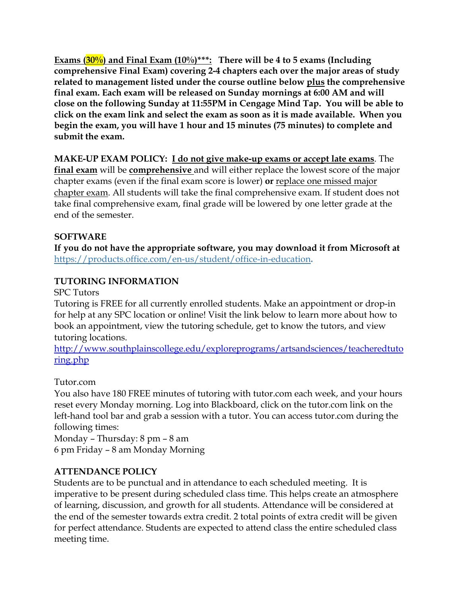**Exams (30%) and Final Exam (10%)\*\*\*: There will be 4 to 5 exams (Including comprehensive Final Exam) covering 2-4 chapters each over the major areas of study related to management listed under the course outline below plus the comprehensive final exam. Each exam will be released on Sunday mornings at 6:00 AM and will close on the following Sunday at 11:55PM in Cengage Mind Tap. You will be able to click on the exam link and select the exam as soon as it is made available. When you begin the exam, you will have 1 hour and 15 minutes (75 minutes) to complete and submit the exam.**

**MAKE-UP EXAM POLICY: I do not give make-up exams or accept late exams**. The **final exam** will be **comprehensive** and will either replace the lowest score of the major chapter exams (even if the final exam score is lower) **or** replace one missed major chapter exam. All students will take the final comprehensive exam. If student does not take final comprehensive exam, final grade will be lowered by one letter grade at the end of the semester.

#### **SOFTWARE**

**If you do not have the appropriate software, you may download it from Microsoft at** <https://products.office.com/en-us/student/office-in-education>**.**

#### **TUTORING INFORMATION**

SPC Tutors

Tutoring is FREE for all currently enrolled students. Make an appointment or drop-in for help at any SPC location or online! Visit the link below to learn more about how to book an appointment, view the tutoring schedule, get to know the tutors, and view tutoring locations.

[http://www.southplainscollege.edu/exploreprograms/artsandsciences/teacheredtuto](http://www.southplainscollege.edu/exploreprograms/artsandsciences/teacheredtutoring.php) [ring.php](http://www.southplainscollege.edu/exploreprograms/artsandsciences/teacheredtutoring.php)

#### Tutor.com

You also have 180 FREE minutes of tutoring with tutor.com each week, and your hours reset every Monday morning. Log into Blackboard, click on the tutor.com link on the left-hand tool bar and grab a session with a tutor. You can access tutor.com during the following times:

Monday – Thursday: 8 pm – 8 am 6 pm Friday – 8 am Monday Morning

#### **ATTENDANCE POLICY**

Students are to be punctual and in attendance to each scheduled meeting. It is imperative to be present during scheduled class time. This helps create an atmosphere of learning, discussion, and growth for all students. Attendance will be considered at the end of the semester towards extra credit. 2 total points of extra credit will be given for perfect attendance. Students are expected to attend class the entire scheduled class meeting time.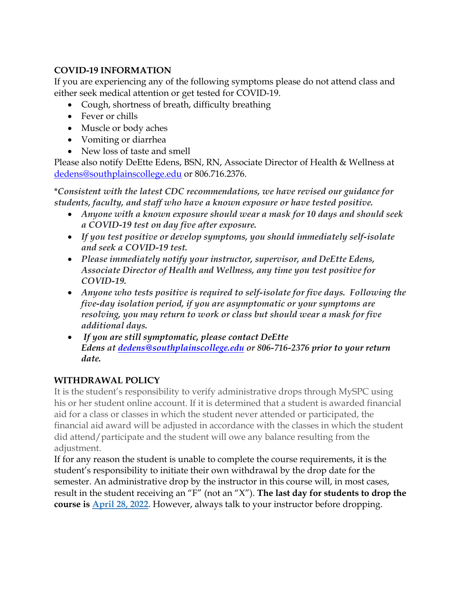# **COVID-19 INFORMATION**

If you are experiencing any of the following symptoms please do not attend class and either seek medical attention or get tested for COVID-19.

- Cough, shortness of breath, difficulty breathing
- Fever or chills
- Muscle or body aches
- Vomiting or diarrhea
- New loss of taste and smell

Please also notify DeEtte Edens, BSN, RN, Associate Director of Health & Wellness at [dedens@southplainscollege.edu](mailto:dedens@southplainscollege.edu) or 806.716.2376.

\**Consistent with the latest CDC recommendations, we have revised our guidance for students, faculty, and staff who have a known exposure or have tested positive.*

- *Anyone with a known exposure should wear a mask for 10 days and should seek a COVID-19 test on day five after exposure.*
- *If you test positive or develop symptoms, you should immediately self-isolate and seek a COVID-19 test.*
- *Please immediately notify your instructor, supervisor, and DeEtte Edens, Associate Director of Health and Wellness, any time you test positive for COVID-19.*
- *Anyone who tests positive is required to self-isolate for five days. Following the five-day isolation period, if you are asymptomatic or your symptoms are resolving, you may return to work or class but should wear a mask for five additional days.*
- *If you are still symptomatic, please contact DeEtte Edens at [dedens@southplainscollege.edu](mailto:dedens@southplainscollege.edu) or 806-716-2376 prior to your return date.*

# **WITHDRAWAL POLICY**

It is the student's responsibility to verify administrative drops through MySPC using his or her student online account. If it is determined that a student is awarded financial aid for a class or classes in which the student never attended or participated, the financial aid award will be adjusted in accordance with the classes in which the student did attend/participate and the student will owe any balance resulting from the adjustment.

If for any reason the student is unable to complete the course requirements, it is the student's responsibility to initiate their own withdrawal by the drop date for the semester. An administrative drop by the instructor in this course will, in most cases, result in the student receiving an "F" (not an "X"). **The last day for students to drop the course is April 28, 2022.** However, always talk to your instructor before dropping.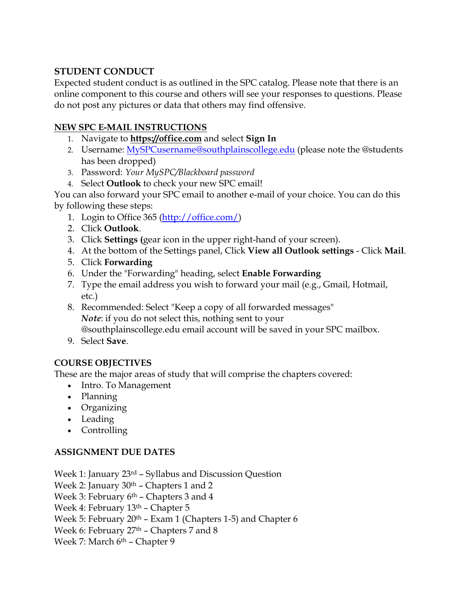# **STUDENT CONDUCT**

Expected student conduct is as outlined in the SPC catalog. Please note that there is an online component to this course and others will see your responses to questions. Please do not post any pictures or data that others may find offensive.

# **NEW SPC E-MAIL INSTRUCTIONS**

- 1. Navigate to **[https://office.com](https://office.com/)** and select **Sign In**
- 2. Username: [MySPCusername@southplainscollege.edu](mailto:MySPCusername@southplainscollege.edu) (please note the @students has been dropped)
- 3. Password: *Your MySPC/Blackboard password*
- 4. Select **Outlook** to check your new SPC email!

You can also forward your SPC email to another e-mail of your choice. You can do this by following these steps:

- 1. Login to Office 365 [\(http://office.com/\)](http://office.com/)
- 2. Click **Outlook**.
- 3. Click **Settings (**gear icon in the upper right-hand of your screen).
- 4. At the bottom of the Settings panel, Click **View all Outlook settings** Click **Mail**.
- 5. Click **Forwarding**
- 6. Under the "Forwarding" heading, select **Enable Forwarding**
- 7. Type the email address you wish to forward your mail (e.g., Gmail, Hotmail, etc.)
- 8. Recommended: Select "Keep a copy of all forwarded messages" *Note*: if you do not select this, nothing sent to your @southplainscollege.edu email account will be saved in your SPC mailbox.
- 9. Select **Save**.

# **COURSE OBJECTIVES**

These are the major areas of study that will comprise the chapters covered:

- Intro. To Management
- Planning
- Organizing
- Leading
- Controlling

# **ASSIGNMENT DUE DATES**

Week 1: January 23rd – Syllabus and Discussion Question Week 2: January 30th – Chapters 1 and 2 Week 3: February  $6<sup>th</sup>$  – Chapters 3 and 4 Week 4: February 13th – Chapter 5 Week 5: February 20th – Exam 1 (Chapters 1-5) and Chapter 6 Week 6: February 27<sup>th</sup> – Chapters 7 and 8 Week 7: March 6<sup>th</sup> - Chapter 9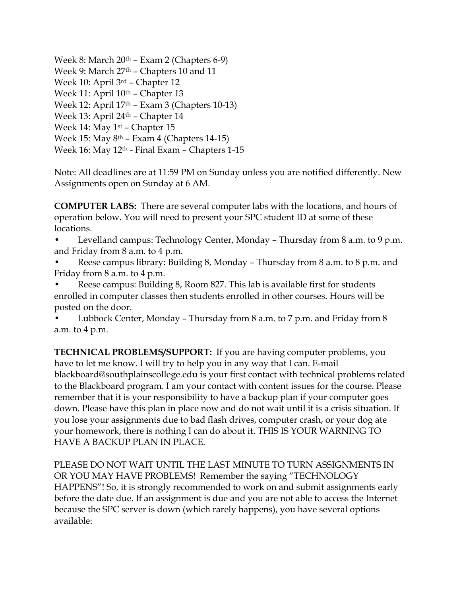Week 8: March 20th – Exam 2 (Chapters 6-9) Week 9: March 27<sup>th</sup> – Chapters 10 and 11 Week 10: April 3rd – Chapter 12 Week 11: April 10<sup>th</sup> – Chapter 13 Week 12: April 17th – Exam 3 (Chapters 10-13) Week 13: April 24th – Chapter 14 Week 14: May 1st – Chapter 15 Week 15: May 8th – Exam 4 (Chapters 14-15) Week 16: May 12th - Final Exam – Chapters 1-15

Note: All deadlines are at 11:59 PM on Sunday unless you are notified differently. New Assignments open on Sunday at 6 AM.

**COMPUTER LABS:** There are several computer labs with the locations, and hours of operation below. You will need to present your SPC student ID at some of these locations.

- Levelland campus: Technology Center, Monday Thursday from 8 a.m. to 9 p.m. and Friday from 8 a.m. to 4 p.m.
- Reese campus library: Building 8, Monday Thursday from 8 a.m. to 8 p.m. and Friday from 8 a.m. to 4 p.m.
- Reese campus: Building 8, Room 827. This lab is available first for students enrolled in computer classes then students enrolled in other courses. Hours will be posted on the door.
- Lubbock Center, Monday Thursday from 8 a.m. to 7 p.m. and Friday from 8 a.m. to 4 p.m.

**TECHNICAL PROBLEMS/SUPPORT:** If you are having computer problems, you have to let me know. I will try to help you in any way that I can. E-mail blackboard@southplainscollege.edu is your first contact with technical problems related to the Blackboard program. I am your contact with content issues for the course. Please remember that it is your responsibility to have a backup plan if your computer goes down. Please have this plan in place now and do not wait until it is a crisis situation. If you lose your assignments due to bad flash drives, computer crash, or your dog ate your homework, there is nothing I can do about it. THIS IS YOUR WARNING TO HAVE A BACKUP PLAN IN PLACE.

PLEASE DO NOT WAIT UNTIL THE LAST MINUTE TO TURN ASSIGNMENTS IN OR YOU MAY HAVE PROBLEMS! Remember the saying "TECHNOLOGY HAPPENS"! So, it is strongly recommended to work on and submit assignments early before the date due. If an assignment is due and you are not able to access the Internet because the SPC server is down (which rarely happens), you have several options available: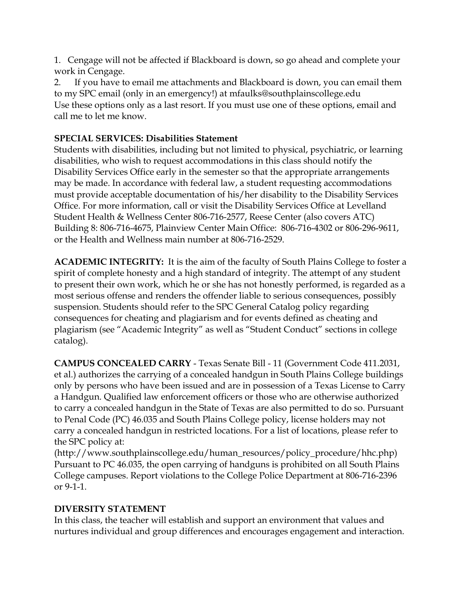1. Cengage will not be affected if Blackboard is down, so go ahead and complete your work in Cengage.

2. If you have to email me attachments and Blackboard is down, you can email them to my SPC email (only in an emergency!) at mfaulks@southplainscollege.edu Use these options only as a last resort. If you must use one of these options, email and call me to let me know.

# **SPECIAL SERVICES: Disabilities Statement**

Students with disabilities, including but not limited to physical, psychiatric, or learning disabilities, who wish to request accommodations in this class should notify the Disability Services Office early in the semester so that the appropriate arrangements may be made. In accordance with federal law, a student requesting accommodations must provide acceptable documentation of his/her disability to the Disability Services Office. For more information, call or visit the Disability Services Office at Levelland Student Health & Wellness Center 806-716-2577, Reese Center (also covers ATC) Building 8: 806-716-4675, Plainview Center Main Office: 806-716-4302 or 806-296-9611, or the Health and Wellness main number at 806-716-2529.

**ACADEMIC INTEGRITY:** It is the aim of the faculty of South Plains College to foster a spirit of complete honesty and a high standard of integrity. The attempt of any student to present their own work, which he or she has not honestly performed, is regarded as a most serious offense and renders the offender liable to serious consequences, possibly suspension. Students should refer to the SPC General Catalog policy regarding consequences for cheating and plagiarism and for events defined as cheating and plagiarism (see "Academic Integrity" as well as "Student Conduct" sections in college catalog).

**CAMPUS CONCEALED CARRY** - Texas Senate Bill - 11 (Government Code 411.2031, et al.) authorizes the carrying of a concealed handgun in South Plains College buildings only by persons who have been issued and are in possession of a Texas License to Carry a Handgun. Qualified law enforcement officers or those who are otherwise authorized to carry a concealed handgun in the State of Texas are also permitted to do so. Pursuant to Penal Code (PC) 46.035 and South Plains College policy, license holders may not carry a concealed handgun in restricted locations. For a list of locations, please refer to the SPC policy at:

(http://www.southplainscollege.edu/human\_resources/policy\_procedure/hhc.php) Pursuant to PC 46.035, the open carrying of handguns is prohibited on all South Plains College campuses. Report violations to the College Police Department at 806-716-2396 or 9-1-1.

# **DIVERSITY STATEMENT**

In this class, the teacher will establish and support an environment that values and nurtures individual and group differences and encourages engagement and interaction.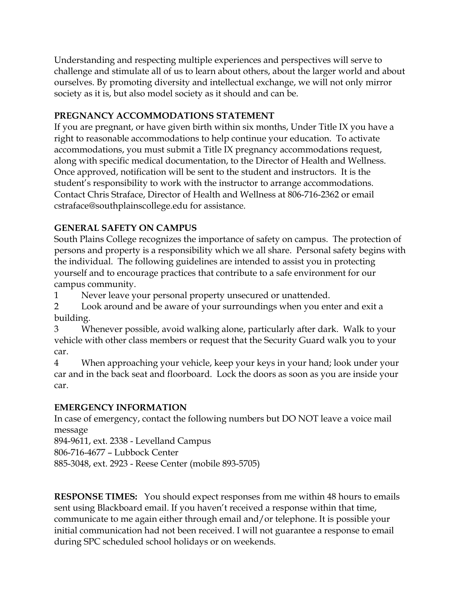Understanding and respecting multiple experiences and perspectives will serve to challenge and stimulate all of us to learn about others, about the larger world and about ourselves. By promoting diversity and intellectual exchange, we will not only mirror society as it is, but also model society as it should and can be.

#### **PREGNANCY ACCOMMODATIONS STATEMENT**

If you are pregnant, or have given birth within six months, Under Title IX you have a right to reasonable accommodations to help continue your education. To activate accommodations, you must submit a Title IX pregnancy accommodations request, along with specific medical documentation, to the Director of Health and Wellness. Once approved, notification will be sent to the student and instructors. It is the student's responsibility to work with the instructor to arrange accommodations. Contact Chris Straface, Director of Health and Wellness at 806-716-2362 or email cstraface@southplainscollege.edu for assistance.

# **GENERAL SAFETY ON CAMPUS**

South Plains College recognizes the importance of safety on campus. The protection of persons and property is a responsibility which we all share. Personal safety begins with the individual. The following guidelines are intended to assist you in protecting yourself and to encourage practices that contribute to a safe environment for our campus community.

1 Never leave your personal property unsecured or unattended.

2 Look around and be aware of your surroundings when you enter and exit a building.

3 Whenever possible, avoid walking alone, particularly after dark. Walk to your vehicle with other class members or request that the Security Guard walk you to your car.

4 When approaching your vehicle, keep your keys in your hand; look under your car and in the back seat and floorboard. Lock the doors as soon as you are inside your car.

# **EMERGENCY INFORMATION**

In case of emergency, contact the following numbers but DO NOT leave a voice mail message

894-9611, ext. 2338 - Levelland Campus 806-716-4677 – Lubbock Center 885-3048, ext. 2923 - Reese Center (mobile 893-5705)

**RESPONSE TIMES:** You should expect responses from me within 48 hours to emails sent using Blackboard email. If you haven't received a response within that time, communicate to me again either through email and/or telephone. It is possible your initial communication had not been received. I will not guarantee a response to email during SPC scheduled school holidays or on weekends.